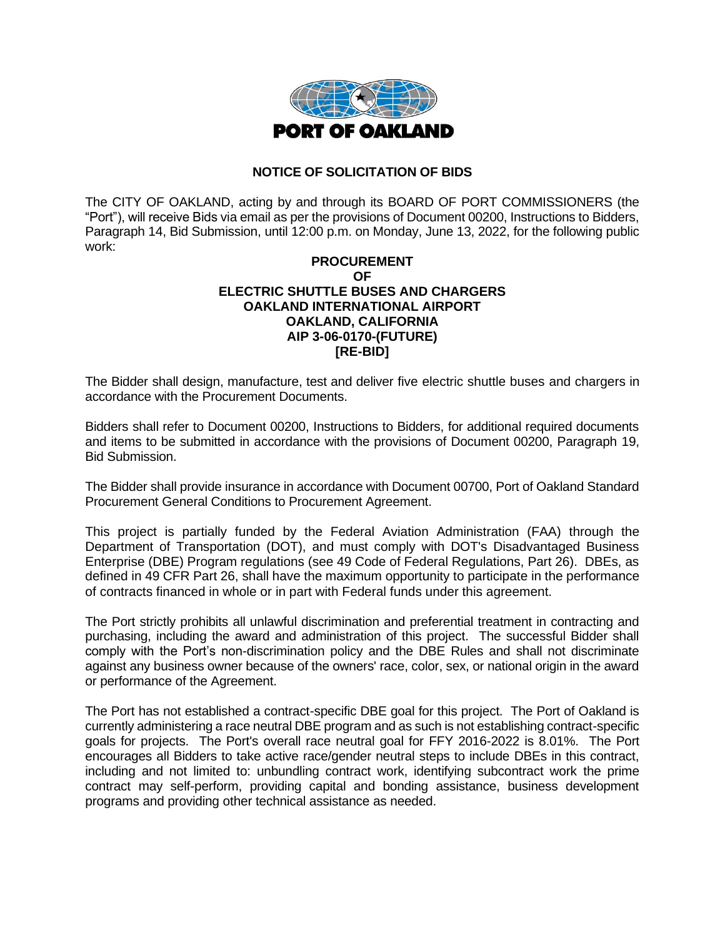

## **NOTICE OF SOLICITATION OF BIDS**

The CITY OF OAKLAND, acting by and through its BOARD OF PORT COMMISSIONERS (the "Port"), will receive Bids via email as per the provisions of Document 00200, Instructions to Bidders, Paragraph 14, Bid Submission, until 12:00 p.m. on Monday, June 13, 2022, for the following public work:

## **PROCUREMENT OF ELECTRIC SHUTTLE BUSES AND CHARGERS OAKLAND INTERNATIONAL AIRPORT OAKLAND, CALIFORNIA AIP 3-06-0170-(FUTURE) [RE-BID]**

The Bidder shall design, manufacture, test and deliver five electric shuttle buses and chargers in accordance with the Procurement Documents.

Bidders shall refer to Document 00200, Instructions to Bidders, for additional required documents and items to be submitted in accordance with the provisions of Document 00200, Paragraph 19, Bid Submission.

The Bidder shall provide insurance in accordance with Document 00700, Port of Oakland Standard Procurement General Conditions to Procurement Agreement.

This project is partially funded by the Federal Aviation Administration (FAA) through the Department of Transportation (DOT), and must comply with DOT's Disadvantaged Business Enterprise (DBE) Program regulations (see 49 Code of Federal Regulations, Part 26). DBEs, as defined in 49 CFR Part 26, shall have the maximum opportunity to participate in the performance of contracts financed in whole or in part with Federal funds under this agreement.

The Port strictly prohibits all unlawful discrimination and preferential treatment in contracting and purchasing, including the award and administration of this project. The successful Bidder shall comply with the Port's non-discrimination policy and the DBE Rules and shall not discriminate against any business owner because of the owners' race, color, sex, or national origin in the award or performance of the Agreement.

The Port has not established a contract-specific DBE goal for this project. The Port of Oakland is currently administering a race neutral DBE program and as such is not establishing contract-specific goals for projects. The Port's overall race neutral goal for FFY 2016-2022 is 8.01%. The Port encourages all Bidders to take active race/gender neutral steps to include DBEs in this contract, including and not limited to: unbundling contract work, identifying subcontract work the prime contract may self-perform, providing capital and bonding assistance, business development programs and providing other technical assistance as needed.